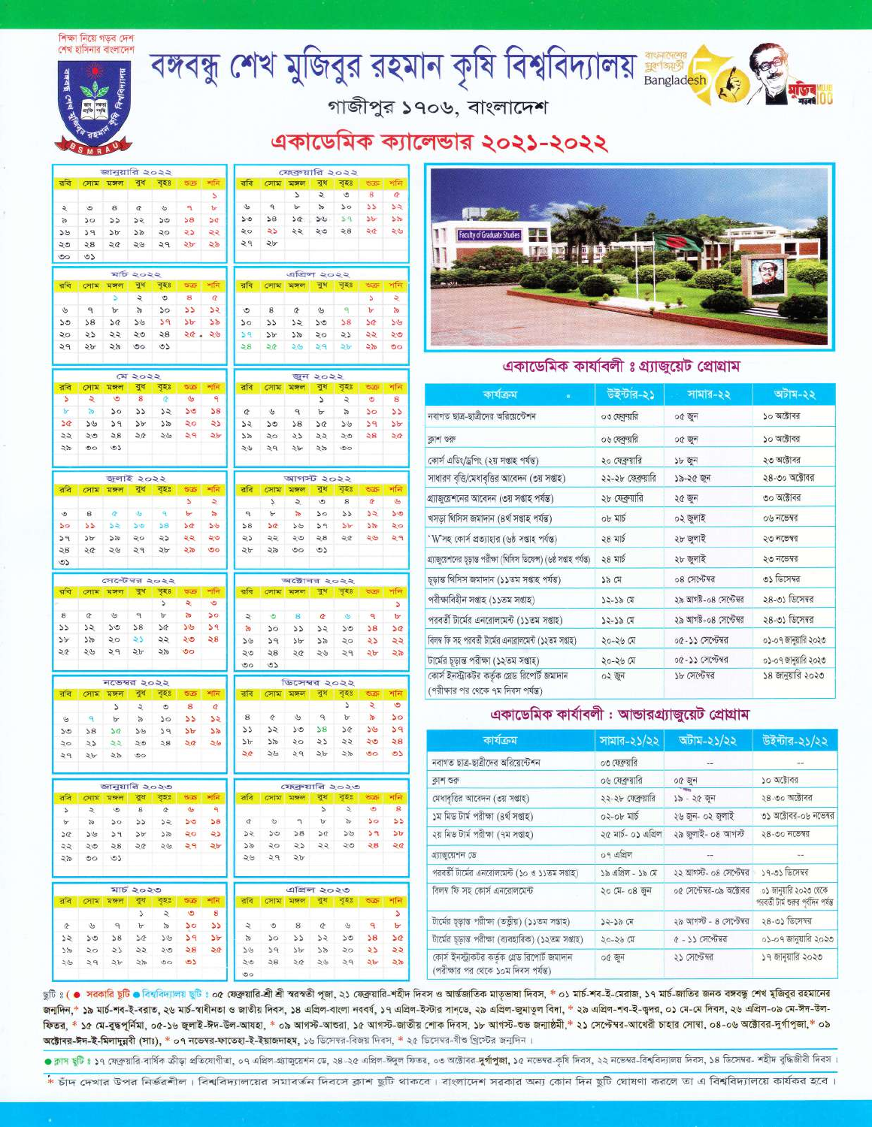#### শিক্ষা নিয়ে গড়ব দেশ শেষ হাসিনার বাংলাদেশ



 $\ddot{\phantom{a}}$  $\overline{8}$  $\alpha$  $\mathfrak{a}$ 

**CRITE** মঞ্চল বধ ৰহা

 $\overline{a}$ 

 $5b$  $29$ 

×Ĥ

 $\mathbf{r}$  $\overline{50}$ 35  $55$  $50$  $58$  $50$ 

Sil  $59$  $b$  $3<sup>2</sup>$  $50$  $\geq 5$  $55$ 

২৩  $58$ 

 $\circ$ Ó۵

तरि

 $\mathcal{C}$ 

 $50$  $58$  $30$  $3b$  $39$  $\mathbf{b}$  $55$ 

 $50$  $\overline{\mathcal{L}}$ 55  $\mathbf{a}$  $58$  $50.$  $\sim$ 

ß

 $30$ su  $\overline{\phantom{a}}$ 

 $55$  $S(n)$ s

 $5h$  $OQ$  $\mathbf{c}$ 

রবি

 $\mathfrak{S}$  $\overline{\mathbf{a}}$ 

 $\mathbf{S}$  $55$ 

3

Ä

i.

ı,

জানয়ারি ১০১১

 $\pi$  of  $5000$ 

 $\bullet$ 

 $30$ 

सकता

 $\mathcal{D}Q$  $56$  $29$  $\Delta \lambda_0$ 

 $\overline{b}$  $\mathbf{r}$ 

 $\frac{1}{2}$ 

কুধ बङ्क

বঙ্গবন্ধু শেখ মুজিবুর রহমান কৃষি বিশ্ববিদ্যালয় **Harlsan** 

26

3

 $\overline{\mathbf{z}}$ 

 $\overline{a}$ 

 $59$ 

 $\overline{\mathbf{z}}$ 

 $\mathbf{b}$ 

ios

s  $\overline{\mathbf{5}}$  $\mathbf{S}$ **b**  $50$ 

 $\overline{\phantom{a}}$  $\overline{b}$  $50$  $55$  $\geq 5$ 

ফেব্ৰুয়ারি ২০২২

এপ্রিল ২০২২

 $\mathbf{S}$ 

**STREAM** 

 $\overline{\phantom{a}}$  $\overline{z}$  $\overline{a}$  $\overline{\mathbf{a}}$  $\overline{\sigma}$ 

 $55$ 50

**STORE** ৰধ ৰহা

 $\sigma$  $\mathbf{u}$ 

 $\overline{\phantom{0}}$ 

বধ ষহঃ

> $\overline{58}$  $50$

 $55$  $55$  $50$ 

्  $\frac{1}{2}$  $50^{\circ}$  $\overline{\mathbf{5}}$ 

 $5x$ 58  $50$ 

33 55  $50$ 

**Sb**  $35$  $50$ 

 $\geqslant$  $56$ 

 $\overline{\phantom{a}}$  $\overline{\phantom{a}}$  $\overline{6}$ 

 $z \approx$ 

 $50$ 

os  $\circ$ 

অক্টোবর ২০২২

 $\theta$ 

 $\sqrt{67798}$  and a

 $\overline{\lambda}$  or  $\overline{\alpha}$ 

মহাক

 $59$  $\delta b$   $\mathbf{S}$  $\circ$ 

 $59$  $5b$ 

গাজীপুর ১৭০৬, বাংলাদেশ

## একাডেমিক ক্যালেভার ২০২১-২০২২



### একাডেমিক কাৰ্যাবলী ঃ গ্ৰ্যাজুয়েট প্ৰোগ্ৰাম

| কাৰ্যক্ৰম<br>o                                                                      | উইন্টার-২১        | সামার-২২               | অটাম-২২              |
|-------------------------------------------------------------------------------------|-------------------|------------------------|----------------------|
| নবাগত ছাত্ৰ-ছাত্ৰীদের অরিয়েন্টেশন                                                  | ০৩ ফেব্রুয়ারি    | ০৫ জন                  | ১০ অক্টোবর           |
| ক্লাশ শুরু                                                                          | ০৬ ফেব্রুয়ারি    | ০৫ জুন                 | ১০ অক্টোবর           |
| কোৰ্স এডিং/ড্ৰপিং (২য় সপ্তাহ পৰ্যন্ত)                                              | ২০ ফেব্রুয়ারি    | ১৮ জুন                 | ২৩ অক্টোবর           |
| সাধারণ বৃত্তি/মেধাবৃত্তির আবেদন (৩য় সপ্তাহ)                                        | ২২-২৮ ফেব্রুয়ারি | ১৯-২৫ জুন              | ২৪-৩০ অক্টোবর        |
| গ্র্যাজুয়েশনের আবেদন (৩য় সপ্তাহ পর্যন্ত)                                          | ২৮ ফেব্রুয়ারি    | ২৫ জুন                 | ৩০ অক্টোবর           |
| খসড়া থিসিস জমাদান (৪ৰ্থ সপ্তাহ পৰ্যন্ত)                                            | ০৮ মার্চ          | ০২ জুলাই               | ০৬ নভেম্বর           |
| 'W'সহ কোর্স প্রত্যাহার (৬ষ্ঠ সপ্তাহ পর্যন্ত)                                        | ২৪ মার্চ          | ২৮ জুলাই               | ২৩ নভেম্বর           |
| গ্ৰ্যাজুয়েশনের চূড়ান্ত পরীক্ষা (থিসিস ডিফেন্স) (৬ষ্ঠ সপ্তাহ পর্যন্ত)              | ২৪ মার্চ          | ২৮ জুলাই               | ২৩ নভেম্বর           |
| চূড়ান্ত থিসিস জমাদান (১১তম সপ্তাহ পৰ্যন্ত)                                         | ১৯ মে             | ০৪ সেপ্টেম্বর          | ৩১ ডিসেম্বর          |
| পরীক্ষাবিহীন সপ্তাহ (১১তম সপ্তাহ)                                                   | 75-79 CH          | ২৯ আগষ্ট-০৪ সেপ্টেম্বর | ২৪-৩১ ডিসেম্বর       |
| পরবর্তী টার্মের এনরোলমেন্ট (১১তম সপ্তাহ)                                            | $35 - 39$ $C1$    | ২৯ আগষ্ট-০৪ সেপ্টেম্বর | ২৪-৩১ ডিসেম্বর       |
| বিলম্ব ফি সহ পরবর্তী টার্মের এনরোলমেন্ট (১২তম সপ্তাহ)                               | २०-२७ मि          | ০৫-১১ সেপ্টেম্বর       | ০১-০৭ জানুয়ারি ২০২৩ |
| টাৰ্মের চূড়ান্ত পরীক্ষা (১২তম সপ্তাহ)                                              | ২০-২৬ মে          | ০৫-১১ সেপ্টেম্বর       | ০১-০৭ জানুয়ারি ২০২৩ |
| কোৰ্স ইনস্ট্ৰাকটর কর্তৃক গ্লেড রিপোর্ট জমাদান<br>(পরীক্ষার পর থেকে ৭ম দিবস পর্যন্ত) | ০২ জুন            | ১৮ সেপ্টেম্বর          | ১৪ জানুয়ারি ২০২৩    |

### একাডেমিক কাৰ্যাবলী: আন্ডারগ্র্যাজয়েট প্রোগ্রাম

| কাৰ্যক্ৰম                                                                            | সামার-২১/২২         | অটাম-২১/২২               | উইন্টার-২১/২২                                                 |
|--------------------------------------------------------------------------------------|---------------------|--------------------------|---------------------------------------------------------------|
| নবাগত ছাত্র-ছাত্রীদের অরিয়েন্টেশন                                                   | ০৩ ফেব্রুয়ারি      | <b>Service</b>           |                                                               |
| ক্ৰাশ শুৰু                                                                           | ০৬ ফেব্রুয়ার       | ০৫ জন                    | ১০ অক্টোবর                                                    |
| মেধাবৃত্তির আবেদন (৩য় সপ্তাহ)                                                       | ২২-২৮ ফেব্রুয়ারি   | ১৯ - ২৫ জুন              | ২৪-৩০ অক্টোবর                                                 |
| ১ম মিড টাৰ্ম পরীক্ষা (৪র্থ সপ্তাহ)                                                   | $02$ -ob মার্চ      | ২৬ জুন- ০২ জুলাই         | ৩১ অক্টোবর-০৬ নভেম্বর                                         |
| ২য় মিড টাৰ্ম পরীক্ষা (৭ম সপ্তাহ)                                                    | ২৫ মাৰ্চ- ০১ এপ্ৰিল | ২৯ জুলাই- ০৪ আগস্ট       | ২৪-৩০ নভেম্বর                                                 |
| গ্ৰ্যাজুয়েশন ডে                                                                     | ০৭ এপ্রিল           | 77.                      |                                                               |
| পরবর্তী টার্মের এনরোলমেন্ট (১০ ও ১১তম সপ্তাহ)                                        | ১৯ এপ্রিল - ১৯ মে   | ২২ আগস্ট- ০৪ সেপ্টেম্বর  | ১৭-৩১ ডিসেম্বর                                                |
| বিলম্ব ফি সহ কোর্স এনরোলমেন্ট                                                        | ২০ মে- ০৪ জন        | ০৫ সেপ্টেম্বর-০৯ অক্টোবর | ০১ জানুয়ারি ২০২৩ থেকে<br>পরবর্তী টার্ম ওরুর পূর্বদিন পর্যন্ত |
| টাৰ্মের চূড়ান্ত পরীক্ষা (তত্ত্বীয়) (১১তম সপ্তাহ)                                   | $75 - 79$ CH        | ২৯ আগস্ট - ৪ সেপ্টেম্বর  | ২৪-৩১ ডিসেম্বর                                                |
| টার্মের চূড়ান্ত পরীক্ষা (ব্যবহারিক) (১২তম সপ্তাহ)                                   | २०-२७ मि            | ৫ - ১১ সেপ্টেম্বর        | ০১-০৭ জানুয়ারি ২০২৩                                          |
| কোর্স ইনস্ট্রাকটর কর্তৃক গ্রেড রিপোর্ট জমাদান<br>(পরীক্ষার পর থেকে ১০ম দিবস পর্যন্ত) | ০৫ জন               | ২১ সেপ্টেম্বর            | ১৭ জানুয়ারি ২০২৩                                             |

ছটিঃ ( ● সরকারি ছটি ● বিশ্বিদ্যালয় ছটিঃ ০৫ ফেব্রুয়ারি-শ্রী শ্রী স্বরস্বতী পূজা, ২১ ফেব্রুয়ারি-শহীদ দিবস ও আর্ন্ডজাতিক মাতৃভাষা দিবস, \* ০১ মার্চ-শব-ই-মেরাজ, ১৭ মার্চ-জাতির জনক বঙ্গকু শেখ মুজিবুর রহমানের জনাদিন,\* ১৯ মাৰ্চ-শব-ই-বরাত, ২৬ মাৰ্চ-স্বাধীনতা ও জাতীয় দিবস, ১৪ এপ্রিল-বংলা নববর্ষ, ১৭ এপ্রিল-ইমাতুল, ২৯ এপ্রিল-জুমাতুল বিদা, \* ২৯ এপ্রিল-শব-ই-ক্বদর, ০১ মে-মে দিবস, ২৬ এপ্রিল-০৯ মে-ঈদ-উল-কিতর, \* ১৫ মে-বুদ্ধপূর্নিমা, ০৫-১৬ জুলাই-ঈদ-উল-আযহা, \* ০৯ আগস্ট-আন্তরা, ১৫ আগস্ট-ভাজী, ১৮ আগস্ট-শুভ জন্মষ্ঠমী,\* ২১ সেপ্টেম্বর-আখেরী চাহার সোমা, ০৪-০৬ অক্টোবর-দুর্গাপুজা,\* ০৯ অক্টোবর-ঈদ-ই-মিলাদুরবী (সাঃ), \* ০৭ নভেম্বর-ফাতেহা-ই-ইয়াজদাহম, ১৬ ডিসেম্বর-বিজয় দিবস, \* ২৫ ডিসেম্বর-যীও খ্রিস্টের জন্মদিন।

● কাস ছটিঃ ১৭ ফেব্ৰুয়ারি-বাৰ্ষিক ক্রীড়া প্রতিযোগীতা, ০৭ এপ্রিস-হ্যাজুরেশন ডে, ২৪-২৫ এপ্রিস-ফুল ফিতর, ০৩ অক্টোরর-দু**র্গাপুলা,** ১৫ নভেম্ব-করি দিবস, ২২ নভেম্ব-বিশ্ববিদ্যালয় দিবস, ১৪ ডিসেম্বর- শহীদ বুদ্ধিজীবী দিবস।

\* চাঁদ দেখার উপর নির্ভরশীল। বিশ্ববিদ্যালয়ের সমাবর্তন দিবসে ক্লাশ ছুটি থাকবে। বাংলাদেশ সরকার অন্য কোন দিন ছুটি ঘোষণা করলে তা এ বিশ্ববিদ্যালয়ে কার্যকর হবে।

|       | $\sim$    | ---      |                         |              |               | . .            | $-$          | $\sim$  | $-$                   |
|-------|-----------|----------|-------------------------|--------------|---------------|----------------|--------------|---------|-----------------------|
| 35    | SO        | 55       |                         |              | 58            |                | $20 - 26$    | 29      | 26                    |
|       |           |          |                         |              |               |                |              |         |                       |
|       | C12022    |          |                         |              |               |                |              | জন ২০২২ |                       |
| মঙ্গল | বুধ       | বৃহঃ     | <b>Gulf</b>             | अस्ति        | রবি           | সোম            | মঙ্গল        | বুধ     | বৃহ                   |
| G     | 8         | Q.       | $\mathbf{r}$            | ٩            |               |                |              | ν       | $\tilde{\phantom{a}}$ |
| 50    | 22        | 52       | $50^{\circ}$            | 58           | $\alpha$      | $\omega$       | $\mathsf{P}$ | b.      | ă,                    |
| 96    | 5b        | 55       | $\Delta O$              | 25           | 52            | 50             | 38           | 5Q      | 56                    |
| 28    | 26        | 26       | ২৭                      | 2b           | 6L            | $20^{\circ}$   | 22           | 22      | 25                    |
| 55    |           |          |                         |              | 59            | P <sup>2</sup> | 2b           | 45      | GO                    |
|       | জলাই ২০২২ |          |                         |              |               |                | আগস্ট ২০২২   |         |                       |
| बाकमा |           | বুধ বৃহঃ | <b>GGF</b>              | भनि          | রবি           | সোম            | মঙ্গল        | বুধ     | বৃহ                   |
|       |           |          | S                       | $\mathbf{z}$ |               | s              | $\ddot{z}$   | $\circ$ | 8                     |
| -a    | s.        | ٩        | $\overline{\mathbf{r}}$ | <b>S</b>     | $\mathcal{P}$ | $\mathbf{b}$   | $\approx$    | 50      | $\geq$                |
| 52.   | 50        | 58       | 5¢                      | 56           | 58            | 50             | 56           | 59      | $\mathbf{S}$          |
|       |           |          |                         |              |               |                |              |         |                       |

 $\overline{\phantom{a}}$ 

 $\geq 8$ 

 $\overline{a}$ 

 $55$  $55$   $\mathfrak{a}$  $\ddot{q}$  $\overline{V}$  $\mathbf{s}$  $\mathbf{v}$  $55$  $\overline{15}$ 

 $50^{\circ}$  $38$  $\overline{\mathcal{A}}$ yy.  $59$  $\overline{\mathcal{D}}$  $5a$ 

 $\frac{5}{20}$ 

 $59$  $\mathbf{b}$ 

ਕਕਿ

 $\bullet$  $\overline{8}$ 

 $30$ 33 33 so  $58$  $\mathcal{S}^{\alpha}$ Site

২১  $\frac{1}{2}$  $\gtrsim$  $\geq 8$ 

 $\frac{1}{2}$ 45

রবি

b.

 $\mathbf{S}$  $\mathcal{S}^{\circ}$  $\mathbf{S}$  $\overline{\mathbf{z}}$  $50$  $58$  $\mathcal{A}$ 

 $\overline{\mathcal{U}}$  $39$  $5b$ 55  $\lambda$ o ذه  $\overline{2}$ 

 $50^{\circ}$  $58$  $50^{\circ}$  $5b$  $39$  $\mathbf{a}$  $\geq 5$ 

ਰਕਿ

 $\mathcal{R}$  $\alpha$  $\mathbf{u}$  $\sim$  $\overline{\mathcal{R}}$  $\mathbf{z}$  $30$ 

 $\mathcal{L}$  $\mathcal{V}$  $50^{\circ}$  $38$  $50^{\circ}$  $36$  $39$ 

 $\mathbf{b}$ 55  $50^{\circ}$  $55$  $52$  $50^{\circ}$  $58$ 

 $50$ 

 $\overline{\phantom{a}}$ in c

 $\frac{1}{2}$ 

 $\overline{25}$ 

 $\mathbf{v}$ 

|     |     |                 |              | ъ.  |             | ত  |
|-----|-----|-----------------|--------------|-----|-------------|----|
| ববি | সোম | विकिथन          | e er         | বহঃ | <b>GLEN</b> |    |
|     |     | সেপ্টেম্বর ২০২২ |              |     |             |    |
| 55  |     |                 |              |     |             |    |
| 58  | 20  | 26              | 29           | 5b  | $\geq 70$   | 50 |
| P   | 55  | 55              | $20^{\circ}$ | 23  | 55          | 50 |

 $\sigma$  $\mathbf{v}$  $\mathbf{b}$  $\triangleright$  $30$  $\mathbf{a}$  $\alpha$  $\lambda$  $52$  $30$  $38$  $\mathcal{A}$  $56$  $39$  $\mathbf{S}$ ss  $\frac{1}{2}$  $\frac{5}{2}$  $\mathbf{b}$  $\lambda$  $58$  $59$  $5b$  $\overline{5}$  $\geqslant$  $54$  $55$ নভেম্বর ১০১১

|   |           |       |                      |         | বৃহঃ |    |
|---|-----------|-------|----------------------|---------|------|----|
|   |           |       | ÷                    | $\circ$ | s    | œ  |
| 5 |           | 绥     | $\frac{1}{\sqrt{2}}$ | 30      | 55   | 55 |
| ی | 58        |       | 56                   | 59      | 75   | 55 |
| ö | 23        | 55    | ২৩                   | 28      | 20   |    |
| ٩ | $\gtrsim$ | $-25$ | <b>DO</b>            |         |      |    |

|                |     | জানুয়ারি ২০২৩ |                |                |              |             |          |     | ফেব্রুয়ারি ২০২৩ |                |                |               |
|----------------|-----|----------------|----------------|----------------|--------------|-------------|----------|-----|------------------|----------------|----------------|---------------|
| রবি            | সোম | al bren        | ৰুধ            | বৃহঃ           | <b>GREE</b>  | भनि         | রবি      | সোম | মহাজ্ঞা          | বুধ            | 488            | श्चर          |
| $\overline{ }$ | ₹   | $\ddot{\circ}$ | 8 <sup>°</sup> | $\overline{c}$ | $\mathbf{v}$ | ۹           |          |     |                  | $\overline{a}$ | $\overline{z}$ | G             |
| $\mathbf{r}$   | à.  | 50             | $\geq$         | 52             | 50           | 58          | $\sigma$ | G   | ٩                | br             | $\sim$         | $\mathbf{S}$  |
| 30             | 56  | 59             | 5 <sub>b</sub> | 55             | ২০           | 25          | 25       | 50  | 38               | 5Q             | 53             | S,            |
| 22.            | ২৩  | 28             | 2Q             | 26             | 29           | $\gtrsim b$ | 58       | 20  | 25               | 22             | 20             | 28            |
| 28             | ৩೦  | 55             |                |                |              |             | 50       | 29  | 54               |                |                |               |
|                |     |                |                |                |              |             |          |     |                  |                |                |               |
|                |     |                | মার্চ ২০২৩     |                |              |             |          |     | এপ্রিল ২০২৩      |                |                |               |
| রবি            | সোম | बैकिन          | ৰুধ            | বৃহঃ           | <b>Out</b>   | শনি         | রবি      | সোম | মজল              | বুধ            | 可取到            | তত            |
|                |     |                | $\mathcal{L}$  | $\ddot{\sim}$  | G            | 8           |          |     |                  |                |                |               |
| $\alpha$       | G   | ٩              | b              | $\approx$      | 50           | 55          | 2        | ٧   | 8                | œ              | 丛              | $\mathcal{A}$ |
| 52             | 50  | 58             | 50             | 56             | 59           | 5b          | S.       | 50  | 55               | 52             | 50             | 58            |
| 58             | 50  | 25             | 55             | 20             | 58           | 55          | 56       | 59  | 56               | 55             | 50             | 5             |
| 25             | 29  | 2b             | $\lesssim$     | OO             | ৩১           |             | 20       | 38  | 24               | $\omega$       | 29             | $\geq 5$      |